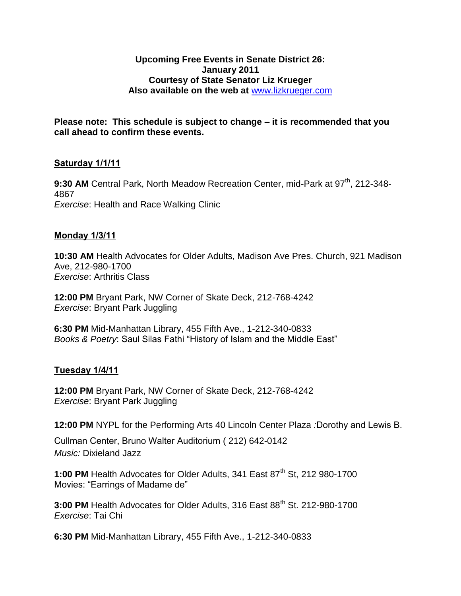#### **Upcoming Free Events in Senate District 26: January 2011 Courtesy of State Senator Liz Krueger Also available on the web at** [www.lizkrueger.com](http://www.lizkrueger.com/)

**Please note: This schedule is subject to change – it is recommended that you call ahead to confirm these events.**

### **Saturday 1/1/11**

**9:30 AM** Central Park, North Meadow Recreation Center, mid-Park at 97<sup>th</sup>, 212-348-4867 *Exercise*: Health and Race Walking Clinic

### **Monday 1/3/11**

**10:30 AM** Health Advocates for Older Adults, Madison Ave Pres. Church, 921 Madison Ave, 212-980-1700 *Exercise*: Arthritis Class

**12:00 PM** Bryant Park, NW Corner of Skate Deck, 212-768-4242 *Exercise*: Bryant Park Juggling

**6:30 PM** Mid-Manhattan Library, 455 Fifth Ave., 1-212-340-0833 *Books & Poetry*: Saul Silas Fathi "History of Islam and the Middle East"

### **Tuesday 1/4/11**

**12:00 PM** Bryant Park, NW Corner of Skate Deck, 212-768-4242 *Exercise*: Bryant Park Juggling

**12:00 PM** NYPL for the Performing Arts 40 Lincoln Center Plaza *:*Dorothy and Lewis B.

Cullman Center, Bruno Walter Auditorium ( 212) 642-0142 *Music:* Dixieland Jazz

1:00 PM Health Advocates for Older Adults, 341 East 87<sup>th</sup> St, 212 980-1700 Movies: "Earrings of Madame de"

3:00 PM Health Advocates for Older Adults, 316 East 88<sup>th</sup> St. 212-980-1700 *Exercise*: Tai Chi

**6:30 PM** Mid-Manhattan Library, 455 Fifth Ave., 1-212-340-0833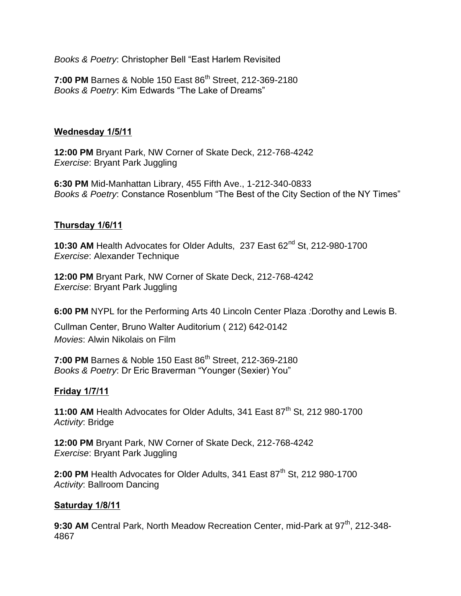*Books & Poetry*: Christopher Bell "East Harlem Revisited

**7:00 PM** Barnes & Noble 150 East 86<sup>th</sup> Street, 212-369-2180 *Books & Poetry*: Kim Edwards "The Lake of Dreams"

### **Wednesday 1/5/11**

**12:00 PM** Bryant Park, NW Corner of Skate Deck, 212-768-4242 *Exercise*: Bryant Park Juggling

**6:30 PM** Mid-Manhattan Library, 455 Fifth Ave., 1-212-340-0833 *Books & Poetry*: Constance Rosenblum "The Best of the City Section of the NY Times"

## **Thursday 1/6/11**

**10:30 AM** Health Advocates for Older Adults, 237 East 62<sup>nd</sup> St, 212-980-1700 *Exercise*: Alexander Technique

**12:00 PM** Bryant Park, NW Corner of Skate Deck, 212-768-4242 *Exercise*: Bryant Park Juggling

**6:00 PM** NYPL for the Performing Arts 40 Lincoln Center Plaza *:*Dorothy and Lewis B.

Cullman Center, Bruno Walter Auditorium ( 212) 642-0142 *Movies*: Alwin Nikolais on Film

**7:00 PM** Barnes & Noble 150 East 86<sup>th</sup> Street, 212-369-2180 *Books & Poetry*: Dr Eric Braverman "Younger (Sexier) You"

## **Friday 1/7/11**

**11:00 AM** Health Advocates for Older Adults, 341 East 87<sup>th</sup> St, 212 980-1700 *Activity*: Bridge

**12:00 PM** Bryant Park, NW Corner of Skate Deck, 212-768-4242 *Exercise*: Bryant Park Juggling

**2:00 PM** Health Advocates for Older Adults, 341 East 87<sup>th</sup> St, 212 980-1700 *Activity*: Ballroom Dancing

### **Saturday 1/8/11**

**9:30 AM** Central Park, North Meadow Recreation Center, mid-Park at 97<sup>th</sup>. 212-348-4867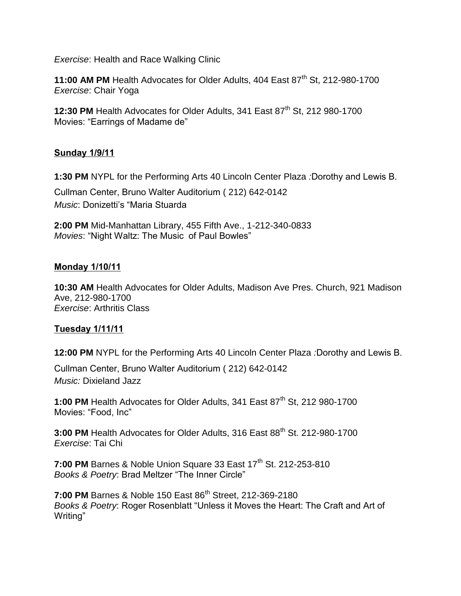*Exercise*: Health and Race Walking Clinic

**11:00 AM PM** Health Advocates for Older Adults, 404 East 87<sup>th</sup> St, 212-980-1700 *Exercise*: Chair Yoga

**12:30 PM** Health Advocates for Older Adults, 341 East 87<sup>th</sup> St, 212 980-1700 Movies: "Earrings of Madame de"

### **Sunday 1/9/11**

**1:30 PM** NYPL for the Performing Arts 40 Lincoln Center Plaza *:*Dorothy and Lewis B.

Cullman Center, Bruno Walter Auditorium ( 212) 642-0142 *Music*: Donizetti's "Maria Stuarda

**2:00 PM** Mid-Manhattan Library, 455 Fifth Ave., 1-212-340-0833 *Movies*: "Night Waltz: The Music of Paul Bowles"

#### **Monday 1/10/11**

**10:30 AM** Health Advocates for Older Adults, Madison Ave Pres. Church, 921 Madison Ave, 212-980-1700 *Exercise*: Arthritis Class

### **Tuesday 1/11/11**

**12:00 PM** NYPL for the Performing Arts 40 Lincoln Center Plaza *:*Dorothy and Lewis B.

Cullman Center, Bruno Walter Auditorium ( 212) 642-0142 *Music:* Dixieland Jazz

**1:00 PM** Health Advocates for Older Adults, 341 East 87<sup>th</sup> St, 212 980-1700 Movies: "Food, Inc"

**3:00 PM** Health Advocates for Older Adults, 316 East 88<sup>th</sup> St. 212-980-1700 *Exercise*: Tai Chi

**7:00 PM** Barnes & Noble Union Square 33 East 17<sup>th</sup> St. 212-253-810 *Books & Poetry*: Brad Meltzer "The Inner Circle"

**7:00 PM** Barnes & Noble 150 East 86<sup>th</sup> Street, 212-369-2180 *Books & Poetry*: Roger Rosenblatt "Unless it Moves the Heart: The Craft and Art of Writing"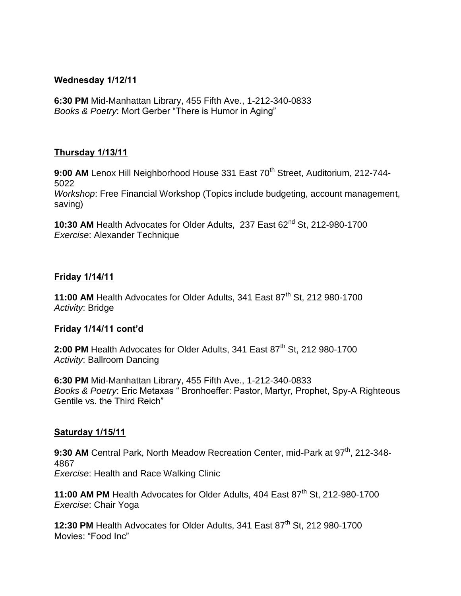### **Wednesday 1/12/11**

**6:30 PM** Mid-Manhattan Library, 455 Fifth Ave., 1-212-340-0833 *Books & Poetry*: Mort Gerber "There is Humor in Aging"

### **Thursday 1/13/11**

9:00 AM Lenox Hill Neighborhood House 331 East 70<sup>th</sup> Street, Auditorium, 212-744-5022

*Workshop*: Free Financial Workshop (Topics include budgeting, account management, saving)

10:30 AM Health Advocates for Older Adults, 237 East 62<sup>nd</sup> St, 212-980-1700 *Exercise*: Alexander Technique

### **Friday 1/14/11**

11:00 AM Health Advocates for Older Adults, 341 East 87<sup>th</sup> St, 212 980-1700 *Activity*: Bridge

### **Friday 1/14/11 cont'd**

2:00 PM Health Advocates for Older Adults, 341 East 87<sup>th</sup> St, 212 980-1700 *Activity*: Ballroom Dancing

**6:30 PM** Mid-Manhattan Library, 455 Fifth Ave., 1-212-340-0833 *Books & Poetry*: Eric Metaxas " Bronhoeffer: Pastor, Martyr, Prophet, Spy-A Righteous Gentile vs. the Third Reich"

### **Saturday 1/15/11**

**9:30 AM** Central Park, North Meadow Recreation Center, mid-Park at 97<sup>th</sup>, 212-348-4867 *Exercise*: Health and Race Walking Clinic

**11:00 AM PM** Health Advocates for Older Adults, 404 East 87<sup>th</sup> St, 212-980-1700 *Exercise*: Chair Yoga

**12:30 PM** Health Advocates for Older Adults, 341 East 87<sup>th</sup> St, 212 980-1700 Movies: "Food Inc"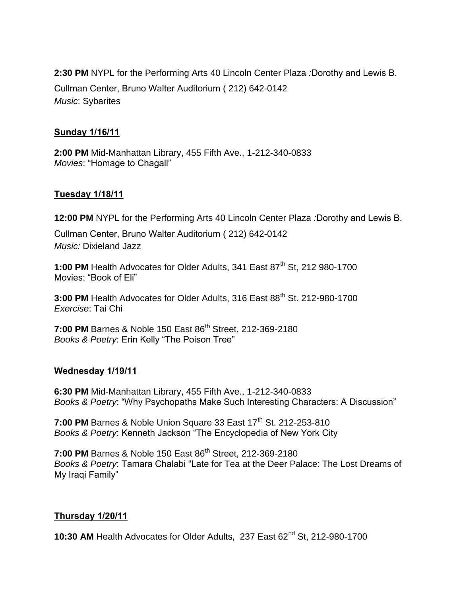**2:30 PM** NYPL for the Performing Arts 40 Lincoln Center Plaza *:*Dorothy and Lewis B. Cullman Center, Bruno Walter Auditorium ( 212) 642-0142

*Music*: Sybarites

### **Sunday 1/16/11**

**2:00 PM** Mid-Manhattan Library, 455 Fifth Ave., 1-212-340-0833 *Movies*: "Homage to Chagall"

### **Tuesday 1/18/11**

**12:00 PM** NYPL for the Performing Arts 40 Lincoln Center Plaza *:*Dorothy and Lewis B.

Cullman Center, Bruno Walter Auditorium ( 212) 642-0142 *Music:* Dixieland Jazz

1:00 PM Health Advocates for Older Adults, 341 East 87<sup>th</sup> St, 212 980-1700 Movies: "Book of Eli"

**3:00 PM** Health Advocates for Older Adults, 316 East 88<sup>th</sup> St. 212-980-1700 *Exercise*: Tai Chi

**7:00 PM** Barnes & Noble 150 East 86<sup>th</sup> Street, 212-369-2180 *Books & Poetry*: Erin Kelly "The Poison Tree"

### **Wednesday 1/19/11**

**6:30 PM** Mid-Manhattan Library, 455 Fifth Ave., 1-212-340-0833 *Books & Poetry*: "Why Psychopaths Make Such Interesting Characters: A Discussion"

**7:00 PM** Barnes & Noble Union Square 33 East 17<sup>th</sup> St. 212-253-810 *Books & Poetry*: Kenneth Jackson "The Encyclopedia of New York City

**7:00 PM** Barnes & Noble 150 East 86<sup>th</sup> Street, 212-369-2180 *Books & Poetry*: Tamara Chalabi "Late for Tea at the Deer Palace: The Lost Dreams of My Iraqi Family"

### **Thursday 1/20/11**

10:30 AM Health Advocates for Older Adults, 237 East 62<sup>nd</sup> St, 212-980-1700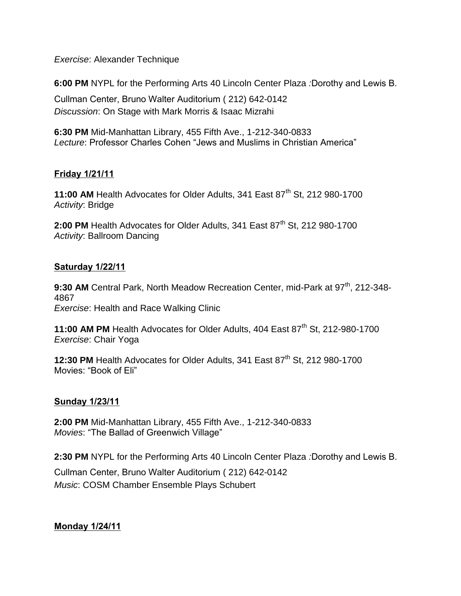*Exercise*: Alexander Technique

**6:00 PM** NYPL for the Performing Arts 40 Lincoln Center Plaza *:*Dorothy and Lewis B.

Cullman Center, Bruno Walter Auditorium ( 212) 642-0142 *Discussion*: On Stage with Mark Morris & Isaac Mizrahi

**6:30 PM** Mid-Manhattan Library, 455 Fifth Ave., 1-212-340-0833 *Lecture*: Professor Charles Cohen "Jews and Muslims in Christian America"

# **Friday 1/21/11**

**11:00 AM** Health Advocates for Older Adults, 341 East 87<sup>th</sup> St, 212 980-1700 *Activity*: Bridge

**2:00 PM** Health Advocates for Older Adults, 341 East 87<sup>th</sup> St, 212 980-1700 *Activity*: Ballroom Dancing

### **Saturday 1/22/11**

**9:30 AM** Central Park, North Meadow Recreation Center, mid-Park at 97<sup>th</sup>, 212-348-4867 *Exercise*: Health and Race Walking Clinic

**11:00 AM PM** Health Advocates for Older Adults, 404 East 87<sup>th</sup> St, 212-980-1700 *Exercise*: Chair Yoga

**12:30 PM** Health Advocates for Older Adults, 341 East 87<sup>th</sup> St, 212 980-1700 Movies: "Book of Eli"

## **Sunday 1/23/11**

**2:00 PM** Mid-Manhattan Library, 455 Fifth Ave., 1-212-340-0833 *Movies*: "The Ballad of Greenwich Village"

**2:30 PM** NYPL for the Performing Arts 40 Lincoln Center Plaza *:*Dorothy and Lewis B. Cullman Center, Bruno Walter Auditorium ( 212) 642-0142 *Music*: COSM Chamber Ensemble Plays Schubert

**Monday 1/24/11**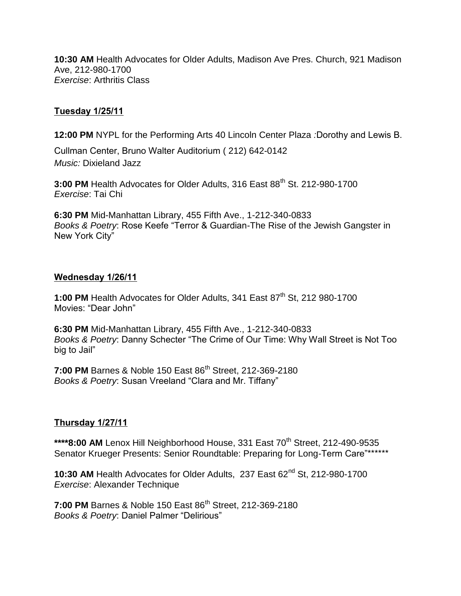**10:30 AM** Health Advocates for Older Adults, Madison Ave Pres. Church, 921 Madison Ave, 212-980-1700 *Exercise*: Arthritis Class

## **Tuesday 1/25/11**

**12:00 PM** NYPL for the Performing Arts 40 Lincoln Center Plaza *:*Dorothy and Lewis B.

Cullman Center, Bruno Walter Auditorium ( 212) 642-0142 *Music:* Dixieland Jazz

**3:00 PM** Health Advocates for Older Adults, 316 East 88<sup>th</sup> St. 212-980-1700 *Exercise*: Tai Chi

**6:30 PM** Mid-Manhattan Library, 455 Fifth Ave., 1-212-340-0833 *Books & Poetry*: Rose Keefe "Terror & Guardian-The Rise of the Jewish Gangster in New York City"

#### **Wednesday 1/26/11**

1:00 PM Health Advocates for Older Adults, 341 East 87<sup>th</sup> St, 212 980-1700 Movies: "Dear John"

**6:30 PM** Mid-Manhattan Library, 455 Fifth Ave., 1-212-340-0833 *Books & Poetry*: Danny Schecter "The Crime of Our Time: Why Wall Street is Not Too big to Jail"

**7:00 PM** Barnes & Noble 150 East 86<sup>th</sup> Street, 212-369-2180 *Books & Poetry*: Susan Vreeland "Clara and Mr. Tiffany"

### **Thursday 1/27/11**

\*\*\*\*8:00 AM Lenox Hill Neighborhood House, 331 East 70<sup>th</sup> Street, 212-490-9535 Senator Krueger Presents: Senior Roundtable: Preparing for Long-Term Care"\*\*\*\*\*\*\*

**10:30 AM** Health Advocates for Older Adults, 237 East 62nd St, 212-980-1700 *Exercise*: Alexander Technique

**7:00 PM** Barnes & Noble 150 East 86<sup>th</sup> Street, 212-369-2180 *Books & Poetry*: Daniel Palmer "Delirious"